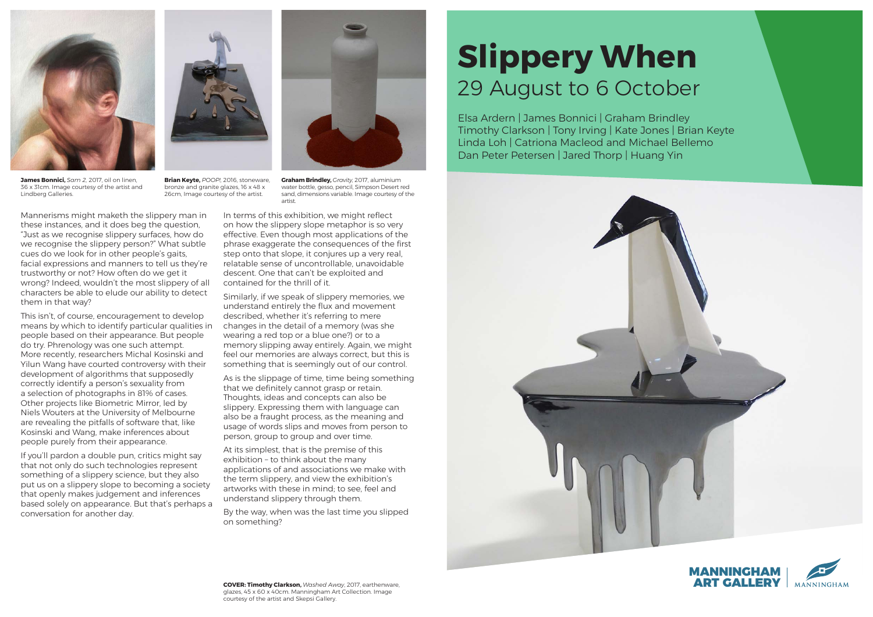## **Slippery When** 29 August to 6 October





Mannerisms might maketh the slippery man in these instances, and it does beg the question, "Just as we recognise slippery surfaces, how do we recognise the slippery person?" What subtle cues do we look for in other people's gaits, facial expressions and manners to tell us they're trustworthy or not? How often do we get it wrong? Indeed, wouldn't the most slippery of all characters be able to elude our ability to detect them in that way?

This isn't, of course, encouragement to develop means by which to identify particular qualities in people based on their appearance. But people do try. Phrenology was one such attempt. More recently, researchers Michal Kosinski and Yilun Wang have courted controversy with their development of algorithms that supposedly correctly identify a person's sexuality from a selection of photographs in 81% of cases. Other projects like Biometric Mirror, led by Niels Wouters at the University of Melbourne are revealing the pitfalls of software that, like Kosinski and Wang, make inferences about people purely from their appearance.

If you'll pardon a double pun, critics might say that not only do such technologies represent something of a slippery science, but they also put us on a slippery slope to becoming a society that openly makes judgement and inferences based solely on appearance. But that's perhaps a conversation for another day.

In terms of this exhibition, we might reflect on how the slippery slope metaphor is so very effective. Even though most applications of the phrase exaggerate the consequences of the first step onto that slope, it conjures up a very real, relatable sense of uncontrollable, unavoidable descent. One that can't be exploited and contained for the thrill of it.

Similarly, if we speak of slippery memories, we understand entirely the flux and movement described, whether it's referring to mere changes in the detail of a memory (was she wearing a red top or a blue one?) or to a memory slipping away entirely. Again, we might feel our memories are always correct, but this is something that is seemingly out of our control.

As is the slippage of time, time being something that we definitely cannot grasp or retain. Thoughts, ideas and concepts can also be slippery. Expressing them with language can also be a fraught process, as the meaning and usage of words slips and moves from person to person, group to group and over time.

At its simplest, that is the premise of this exhibition – to think about the many applications of and associations we make with the term slippery, and view the exhibition's artworks with these in mind; to see, feel and understand slippery through them.

By the way, when was the last time you slipped on something?



**James Bonnici,** *Sam 2,* 2017, oil on linen, 36 x 31cm. Image courtesy of the artist and Lindberg Galleries.



**Brian Keyte,** *POOP!,* 2016, stoneware, bronze and granite glazes, 16 x 48 x 26cm, Image courtesy of the artist.

**Graham Brindley,** *Gravity,* 2017, aluminium water bottle, gesso, pencil, Simpson Desert red sand, dimensions variable. Image courtesy of the artist.

Elsa Ardern | James Bonnici | Graham Brindley Timothy Clarkson | Tony Irving | Kate Jones | Brian Keyte Linda Loh | Catriona Macleod and Michael Bellemo Dan Peter Petersen | Jared Thorp | Huang Yin